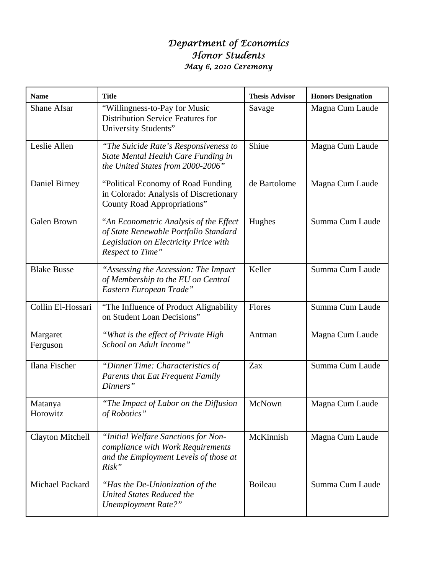## *Department of Economics Honor Students May 6, 2010 Ceremony*

| <b>Name</b>             | <b>Title</b>                                                                                                                                  | <b>Thesis Advisor</b> | <b>Honors Designation</b> |
|-------------------------|-----------------------------------------------------------------------------------------------------------------------------------------------|-----------------------|---------------------------|
| <b>Shane Afsar</b>      | "Willingness-to-Pay for Music<br><b>Distribution Service Features for</b><br>University Students"                                             | Savage                | Magna Cum Laude           |
| Leslie Allen            | "The Suicide Rate's Responsiveness to<br>State Mental Health Care Funding in<br>the United States from 2000-2006"                             | Shiue                 | Magna Cum Laude           |
| Daniel Birney           | "Political Economy of Road Funding<br>in Colorado: Analysis of Discretionary<br>County Road Appropriations"                                   | de Bartolome          | Magna Cum Laude           |
| Galen Brown             | "An Econometric Analysis of the Effect"<br>of State Renewable Portfolio Standard<br>Legislation on Electricity Price with<br>Respect to Time" | Hughes                | Summa Cum Laude           |
| <b>Blake Busse</b>      | "Assessing the Accession: The Impact<br>of Membership to the EU on Central<br>Eastern European Trade"                                         | Keller                | Summa Cum Laude           |
| Collin El-Hossari       | "The Influence of Product Alignability"<br>on Student Loan Decisions"                                                                         | Flores                | Summa Cum Laude           |
| Margaret<br>Ferguson    | "What is the effect of Private High<br>School on Adult Income"                                                                                | Antman                | Magna Cum Laude           |
| Ilana Fischer           | "Dinner Time: Characteristics of<br><b>Parents that Eat Frequent Family</b><br>Dinners"                                                       | Zax                   | Summa Cum Laude           |
| Matanya<br>Horowitz     | "The Impact of Labor on the Diffusion<br>of Robotics"                                                                                         | McNown                | Magna Cum Laude           |
| <b>Clayton Mitchell</b> | "Initial Welfare Sanctions for Non-<br>compliance with Work Requirements<br>and the Employment Levels of those at<br>Risk"                    | McKinnish             | Magna Cum Laude           |
| <b>Michael Packard</b>  | "Has the De-Unionization of the<br><b>United States Reduced the</b><br><b>Unemployment Rate?"</b>                                             | Boileau               | Summa Cum Laude           |